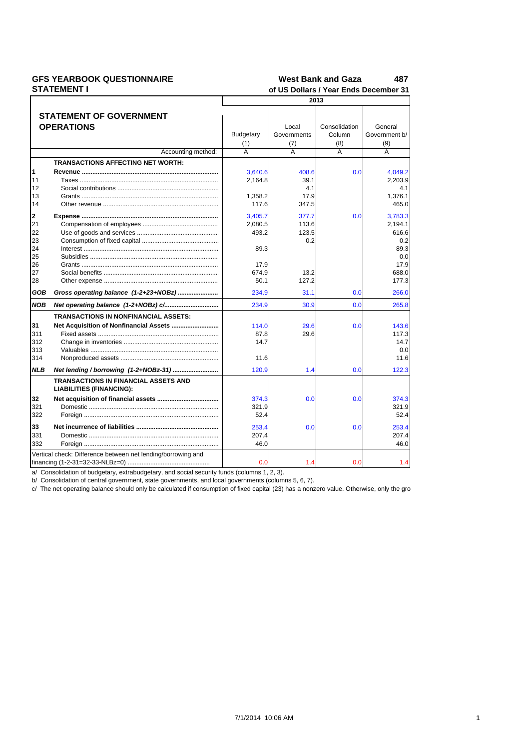### **GFS YEARBOOK QUESTIONNAIRE STATEMENT I**

## $487$ **West Bank and Gaza**<br>of US Dollars / Year Ends Dece

|            | SIAIEMENII<br>of US Dollars / Year Ends December 31          |           |                         |                |                |  |
|------------|--------------------------------------------------------------|-----------|-------------------------|----------------|----------------|--|
|            | 2013                                                         |           |                         |                |                |  |
|            |                                                              |           |                         |                |                |  |
|            | <b>STATEMENT OF GOVERNMENT</b>                               |           |                         |                |                |  |
|            | <b>OPERATIONS</b>                                            |           | Local                   | Consolidation  | General        |  |
|            |                                                              | Budgetary | Governments             | Column         | Government b/  |  |
|            |                                                              | (1)       | (7)                     | (8)            | (9)            |  |
|            | Accounting method:                                           | A         | $\overline{\mathsf{A}}$ | $\overline{A}$ | $\overline{A}$ |  |
|            | <b>TRANSACTIONS AFFECTING NET WORTH:</b>                     |           |                         |                |                |  |
| 1          |                                                              | 3,640.6   | 408.6                   | 0.0            | 4,049.2        |  |
| 11         |                                                              | 2,164.8   | 39.1                    |                | 2,203.9        |  |
| 12         |                                                              |           | 4.1                     |                | 4.1            |  |
| 13         |                                                              | 1,358.2   | 17.9                    |                | 1,376.1        |  |
| 14         |                                                              | 117.6     | 347.5                   |                | 465.0          |  |
| 2          |                                                              | 3.405.7   | 377.7                   | 0.0            | 3.783.3        |  |
| 21         |                                                              | 2,080.5   | 113.6                   |                | 2,194.1        |  |
| 22         |                                                              | 493.2     | 123.5                   |                | 616.6          |  |
| 23         |                                                              |           | 0.2                     |                | 0.2            |  |
| 24         |                                                              | 89.3      |                         |                | 89.3           |  |
| 25         |                                                              |           |                         |                | 0.0            |  |
| 26         |                                                              | 17.9      |                         |                | 17.9           |  |
| 27         |                                                              | 674.9     | 13.2                    |                | 688.0          |  |
| 28         |                                                              | 50.1      | 127.2                   |                | 177.3          |  |
|            |                                                              |           |                         |                |                |  |
| GOB        | Gross operating balance (1-2+23+NOBz)                        | 234.9     | 31.1                    | 0.0            | 266.0          |  |
| <b>NOB</b> |                                                              | 234.9     | 30.9                    | 0.0            | 265.8          |  |
|            | <b>TRANSACTIONS IN NONFINANCIAL ASSETS:</b>                  |           |                         |                |                |  |
| 31         |                                                              | 114.0     | 29.6                    | 0.0            | 143.6          |  |
| 311        |                                                              | 87.8      | 29.6                    |                | 117.3          |  |
| 312        |                                                              | 14.7      |                         |                | 14.7           |  |
| 313        |                                                              |           |                         |                | 0.0            |  |
| 314        |                                                              | 11.6      |                         |                | 11.6           |  |
| <b>NLB</b> | Net lending / borrowing (1-2+NOBz-31)                        | 120.9     | 1.4                     | 0.0            | 122.3          |  |
|            | <b>TRANSACTIONS IN FINANCIAL ASSETS AND</b>                  |           |                         |                |                |  |
|            | <b>LIABILITIES (FINANCING):</b>                              |           |                         |                |                |  |
| 32         |                                                              | 374.3     | 0.0                     | 0.0            | 374.3          |  |
| 321        |                                                              | 321.9     |                         |                | 321.9          |  |
| 322        |                                                              | 52.4      |                         |                | 52.4           |  |
| 33         |                                                              | 253.4     | 0.0                     | 0.0            | 253.4          |  |
| 331        |                                                              | 207.4     |                         |                | 207.4          |  |
|            |                                                              |           |                         |                |                |  |
| 332        |                                                              | 46.0      |                         |                | 46.0           |  |
|            | Vertical check: Difference between net lending/borrowing and |           |                         |                |                |  |
|            |                                                              | 0.0       | 1.4                     | 0.0            | 1.4            |  |

a/ Consolidation of budgetary, extrabudgetary, and social security funds (columns 1, 2, 3).<br>b/ Consolidation of central government, state governments, and local governments (columns 5, 6, 7).

c/ The net operating balance should only be calculated if consumption of fixed capital (23) has a nonzero value. Otherwise, only the gro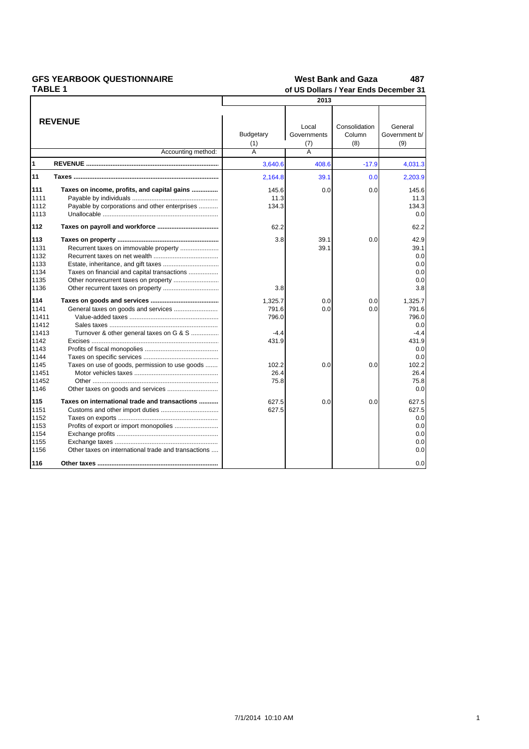| <b>GFS YEARBOOK QUESTIONNAIRE</b> |                                                     | <b>West Bank and Gaza</b><br>487      |             |               |               |  |
|-----------------------------------|-----------------------------------------------------|---------------------------------------|-------------|---------------|---------------|--|
| <b>TABLE 1</b>                    |                                                     | of US Dollars / Year Ends December 31 |             |               |               |  |
|                                   |                                                     |                                       | 2013        |               |               |  |
|                                   |                                                     |                                       |             |               |               |  |
|                                   | <b>REVENUE</b>                                      |                                       | Local       | Consolidation | General       |  |
|                                   |                                                     | <b>Budgetary</b>                      | Governments | Column        | Government b/ |  |
|                                   |                                                     | (1)                                   | (7)         | (8)           | (9)           |  |
|                                   | Accounting method:                                  | $\overline{A}$                        | A           |               |               |  |
| Ι1                                |                                                     | 3,640.6                               | 408.6       | $-17.9$       | 4,031.3       |  |
| 11                                |                                                     | 2,164.8                               | 39.1        | 0.0           | 2,203.9       |  |
| 111                               | Taxes on income, profits, and capital gains         | 145.6                                 | 0.0         | 0.0           | 145.6         |  |
| 1111                              |                                                     | 11.3                                  |             |               | 11.3          |  |
| 1112                              | Payable by corporations and other enterprises       | 134.3                                 |             |               | 134.3         |  |
| 1113                              |                                                     |                                       |             |               | 0.0           |  |
|                                   |                                                     |                                       |             |               |               |  |
| 112                               |                                                     | 62.2                                  |             |               | 62.2          |  |
| 113                               |                                                     | 3.8                                   | 39.1        | 0.0           | 42.9          |  |
| 1131                              | Recurrent taxes on immovable property               |                                       | 39.1        |               | 39.1          |  |
| 1132                              |                                                     |                                       |             |               | 0.0           |  |
| 1133                              |                                                     |                                       |             |               | 0.0           |  |
| 1134                              | Taxes on financial and capital transactions         |                                       |             |               | 0.0           |  |
| 1135                              |                                                     |                                       |             |               | 0.0           |  |
| 1136                              |                                                     | 3.8                                   |             |               | 3.8           |  |
| 114                               |                                                     | 1,325.7                               | 0.0         | 0.0           | 1,325.7       |  |
| 1141                              |                                                     | 791.6                                 | 0.0         | 0.0           | 791.6         |  |
| 11411                             |                                                     | 796.0                                 |             |               | 796.0         |  |
| 11412                             |                                                     |                                       |             |               | 0.0           |  |
| 11413                             | Turnover & other general taxes on G & S             | $-4.4$                                |             |               | -4.4          |  |
| 1142                              |                                                     | 431.9                                 |             |               | 431.9         |  |
| 1143                              |                                                     |                                       |             |               | 0.0           |  |
| 1144                              |                                                     |                                       |             |               | 0.0           |  |
| 1145                              | Taxes on use of goods, permission to use goods      | 102.2                                 | 0.0         | 0.0           | 102.2         |  |
| 11451                             |                                                     | 26.4                                  |             |               | 26.4          |  |
| 11452                             |                                                     | 75.8                                  |             |               | 75.8          |  |
| 1146                              |                                                     |                                       |             |               | 0.0           |  |
| 115                               | Taxes on international trade and transactions       | 627.5                                 | 0.0         | 0.0           | 627.5         |  |
| 1151                              |                                                     | 627.5                                 |             |               | 627.5         |  |
| 1152                              |                                                     |                                       |             |               | 0.0           |  |
| 1153                              |                                                     |                                       |             |               | 0.0           |  |
| 1154                              |                                                     |                                       |             |               | 0.0           |  |
| 1155                              |                                                     |                                       |             |               | 0.0           |  |
| 1156                              | Other taxes on international trade and transactions |                                       |             |               | 0.0           |  |
| 116                               |                                                     |                                       |             |               | 0.0           |  |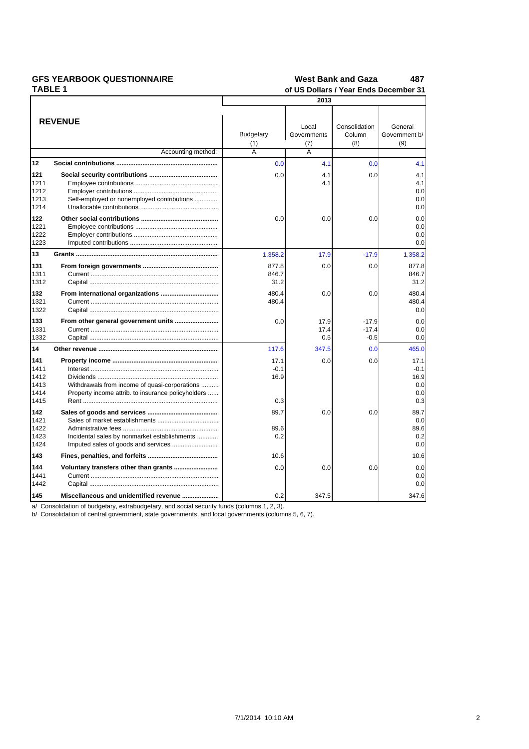|  |  | <b>GFS YEARBOOK QUESTIONNAIRE</b> |  |
|--|--|-----------------------------------|--|
|  |  |                                   |  |

| <b>TABLE 1</b>                              |                                                                                                     | of US Dollars / Year Ends December 31 |                         |                              |                                             |  |
|---------------------------------------------|-----------------------------------------------------------------------------------------------------|---------------------------------------|-------------------------|------------------------------|---------------------------------------------|--|
|                                             |                                                                                                     | 2013                                  |                         |                              |                                             |  |
|                                             | <b>REVENUE</b>                                                                                      | <b>Budgetary</b>                      | Local<br>Governments    | Consolidation<br>Column      | General<br>Government b/                    |  |
|                                             |                                                                                                     | (1)                                   | (7)                     | (8)                          | (9)                                         |  |
|                                             | Accounting method:                                                                                  | Ā                                     | $\overline{\mathsf{A}}$ |                              |                                             |  |
| 12                                          |                                                                                                     | 0.0                                   | 4.1                     | 0.0                          | 4.1                                         |  |
| 121<br>1211<br>1212<br>1213<br>1214         | Self-employed or nonemployed contributions                                                          | 0.0                                   | 4.1<br>4.1              | 0.0                          | 4.1<br>4.1<br>0.0<br>0.0<br>0.0             |  |
| 122<br>1221<br>1222<br>1223                 |                                                                                                     | 0.0                                   | 0.0                     | 0.0                          | 0.0<br>0.0<br>0.0<br>0.0                    |  |
| 13                                          |                                                                                                     | 1,358.2                               | 17.9                    | $-17.9$                      | 1,358.2                                     |  |
| 131<br>1311<br>1312                         |                                                                                                     | 877.8<br>846.7<br>31.2                | 0.0                     | 0.0                          | 877.8<br>846.7<br>31.2                      |  |
| 132<br>1321<br>1322                         |                                                                                                     | 480.4<br>480.4                        | 0.0                     | 0.0                          | 480.4<br>480.4<br>0.0                       |  |
| 133<br>1331<br>1332                         | From other general government units                                                                 | 0.0                                   | 17.9<br>17.4<br>0.5     | $-17.9$<br>$-17.4$<br>$-0.5$ | 0.0<br>0.0<br>0.0                           |  |
| 14                                          |                                                                                                     | 117.6                                 | 347.5                   | 0.0                          | 465.0                                       |  |
| 141<br>1411<br>1412<br>1413<br>1414<br>1415 | Withdrawals from income of quasi-corporations<br>Property income attrib. to insurance policyholders | 17.1<br>$-0.1$<br>16.9<br>0.3         | 0.0                     | 0.0                          | 17.1<br>$-0.1$<br>16.9<br>0.0<br>0.0<br>0.3 |  |
| 142<br>1421<br>1422<br>1423<br>1424         | Incidental sales by nonmarket establishments                                                        | 89.7<br>89.6<br>0.2                   | 0.0                     | 0.0                          | 89.7<br>0.0<br>89.6<br>0.2<br>0.0           |  |
| 143                                         |                                                                                                     | 10.6                                  |                         |                              | 10.6                                        |  |
| 144<br>1441<br>1442                         |                                                                                                     | 0.0                                   | 0.0                     | 0.0                          | 0.0<br>0.0<br>0.0                           |  |
| 145                                         | Miscellaneous and unidentified revenue                                                              | 0.2                                   | 347.5                   |                              | 347.6                                       |  |

a/ Consolidation of budgetary, extrabudgetary, and social security funds (columns 1, 2, 3).<br>b/ Consolidation of central government, state governments, and local governments (columns 5, 6, 7).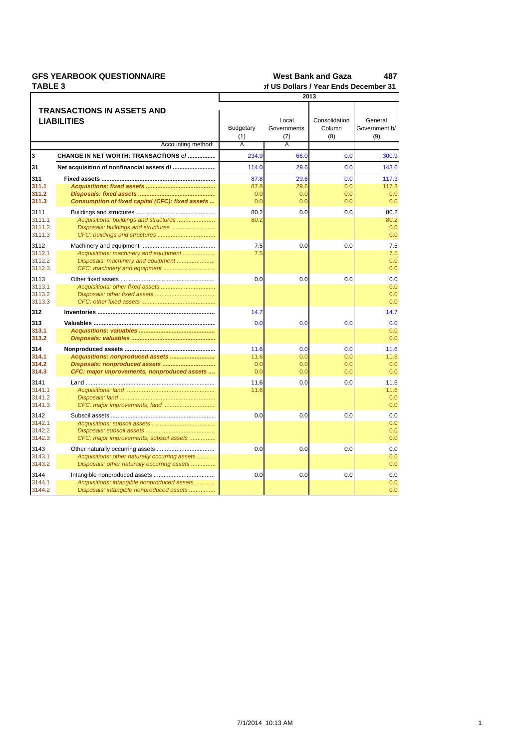| <b>GFS YEARBOOK QUESTIONNAIRE</b> |  |
|-----------------------------------|--|
| TADIE 9                           |  |

### West Bank and Gaza 487 of US Dollars / Year Ends December 31

|                            |                                                                             | TEAL LINS DECE          |                             |                                |                                 |  |
|----------------------------|-----------------------------------------------------------------------------|-------------------------|-----------------------------|--------------------------------|---------------------------------|--|
|                            |                                                                             | 2013                    |                             |                                |                                 |  |
|                            | <b>TRANSACTIONS IN ASSETS AND</b><br><b>LIABILITIES</b>                     | <b>Budgetary</b><br>(1) | Local<br>Governments<br>(7) | Consolidation<br>Column<br>(8) | General<br>Government b/<br>(9) |  |
|                            | Accounting method:                                                          | A                       | A                           |                                |                                 |  |
| 3                          | CHANGE IN NET WORTH: TRANSACTIONS c/                                        | 234.9                   | 66.0                        | 0.0                            | 300.9                           |  |
| 31                         |                                                                             | 114.0                   | 29.6                        | 0.0                            | 143.6                           |  |
| 311                        |                                                                             | 87.8                    | 29.6                        | 0.0                            | 117.3                           |  |
| 311.1                      |                                                                             | 87.8                    | 29.6                        | 0.0                            | 117.3                           |  |
| 311.2                      |                                                                             | 0.0                     | 0.0                         | 0.0                            | 0.0                             |  |
| 311.3                      | Consumption of fixed capital (CFC): fixed assets                            | 0.0                     | 0.0                         | 0.0                            | 0.0                             |  |
| 3111                       |                                                                             | 80.2                    | 0.0                         | 0.0                            | 80.2                            |  |
| 3111.1<br>3111.2<br>3111.3 | Acquisitions: buildings and structures                                      | 80.2                    |                             |                                | 80.2<br>0.0<br>0.0              |  |
| 3112                       |                                                                             | 7.5                     | 0.0                         | 0.0                            | 7.5                             |  |
| 3112.1<br>3112.2<br>3112.3 | Acquisitions: machinery and equipment<br>Disposals: machinery and equipment | 7.5                     |                             |                                | 7.5<br>0.0<br>0.0               |  |
| 3113                       |                                                                             | 0.0                     | 0.0                         | 0.0                            | 0.0                             |  |
| 3113.1<br>3113.2<br>3113.3 |                                                                             |                         |                             |                                | 0.0<br>0.0<br>0.0               |  |
| 312                        |                                                                             | 14.7                    |                             |                                | 14.7                            |  |
| 313                        |                                                                             | 0.0                     | 0.0                         | 0.0                            | 0.0                             |  |
| 313.1                      |                                                                             |                         |                             |                                | 0.0                             |  |
| 313.2                      |                                                                             |                         |                             |                                | 0.0                             |  |
| 314                        |                                                                             | 11.6                    | 0.0                         | 0.0                            | 11.6                            |  |
| 314.1                      |                                                                             | 11.6                    | 0.0                         | 0.0                            | 11.6                            |  |
| 314.2                      |                                                                             | 0.0                     | 0.0                         | 0.0                            | 0.0                             |  |
| 314.3                      | CFC: major improvements, nonproduced assets                                 | 0.0                     | 0.0                         | 0.0                            | 0.0                             |  |
| 3141                       |                                                                             | 11.6                    | 0.0                         | 0.0                            | 11.6                            |  |
| 3141.1<br>3141.2           |                                                                             | 11.6                    |                             |                                | 11.6<br>0.0                     |  |
| 3141.3                     |                                                                             |                         |                             |                                | 0.0                             |  |
| 3142                       |                                                                             | 0.0                     | 0.0                         | 0.0                            | 0.0                             |  |
| 3142.1                     |                                                                             |                         |                             |                                | 0.0                             |  |
| 3142.2                     |                                                                             |                         |                             |                                | 0.0                             |  |
| 3142.3                     | CFC: major improvements, subsoil assets                                     |                         |                             |                                | 0.0                             |  |
| 3143                       |                                                                             | 0.0                     | 0.0                         | 0.0                            | 0.0                             |  |
| 3143.1                     | Acquisitions: other naturally occurring assets                              |                         |                             |                                | 0.0                             |  |
| 3143.2                     | Disposals: other naturally occurring assets                                 |                         |                             |                                | 0.0                             |  |
| 3144                       |                                                                             | 0.0                     | 0.0                         | 0.0                            | 0.0                             |  |
| 3144.1                     | Acquisitions: intangible nonproduced assets                                 |                         |                             |                                | 0.0                             |  |
| 3144.2                     | Disposals: intangible nonproduced assets                                    |                         |                             |                                | 0.0                             |  |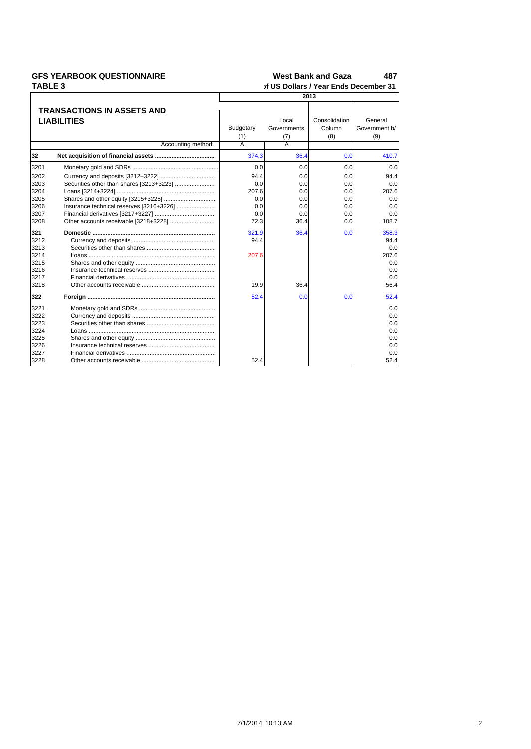# **GFS YEARBOOK QUESTIONNAIRE**

#### **West Bank and Gaza** 487

TABLE 3 of US Dollars / Year Ends December 31 2013 **TRANSACTIONS IN ASSETS AND** Consolidation General **LIABILITIES** Local **Budgetary** Governments Column Government b/  $(1)$  $(7)$  $(8)$  $(9)$ Accounting method: Α  $32<sup>2</sup>$  $374.3$ 410.7  $36.4$  $0<sup>c</sup>$ 3201 Monetary gold and SDRs ...............................  $0.0$  $0.0$  $0.0$  $0.0$ 3202 Currency and deposits [3212+3222]. 94.4  $0.0$  $0.0$ 94.4 3203 Securities other than shares [3213+3223] .............  $0.0$  $0.0$  $0.0$  $0.0$ 207.6 207.6 3204 Loans [3214+3224] ....  $0.0$  $0.0$ Shares and other equity [3215+3225] ...... 3205  $0.0$  $0.0$  $0.0$  $0.0$ Insurance technical reserves [3216+3226] ..... 3206  $0.0$  $0.0$  $0.0$  $0.0$ Financial derivatives [3217+3227] ....... 3207  $0.<sub>C</sub>$  $0.0$  $0.0$  $0.<sub>C</sub>$ Other accounts receivable [3218+3228] .................. 72.3 108.7 3208  $0<sub>0</sub>$ 36.4 321  $321.9$ 36.4  $0.0$ 358.3 Domestic ...... 3212 94.4 Currency and deposits .... 94.4  $3213$ Securities other than shares .....................  $0.0$ 3214 207.6 207.6 Loans .... 3215 Shares and other equity ....................  $0.0$ 3216 Insurance technical reserves ............  $0.0$ 3217 Financial derivatives .........  $0.0$ . . . . . . . . . . . . . . . . . . 3218 Other accounts receivable ........................ 19.9 36.4 56.4 322 Foreign ..............  $52.4$  $0.0$  $0.0$  $52.4$ 3221 Monetary gold and SDRs .................  $0.0$ 3222  $0.0$ 3223 Securities other than shares .....................  $0.0$ 3224 Loans .......  $0.0$ 3225 Shares and other equity ...........  $0.0$ 3226  $0.0$ Insurance technical reserves ............................ 3227  $0.0$ 3228  $52.4$  $52.4$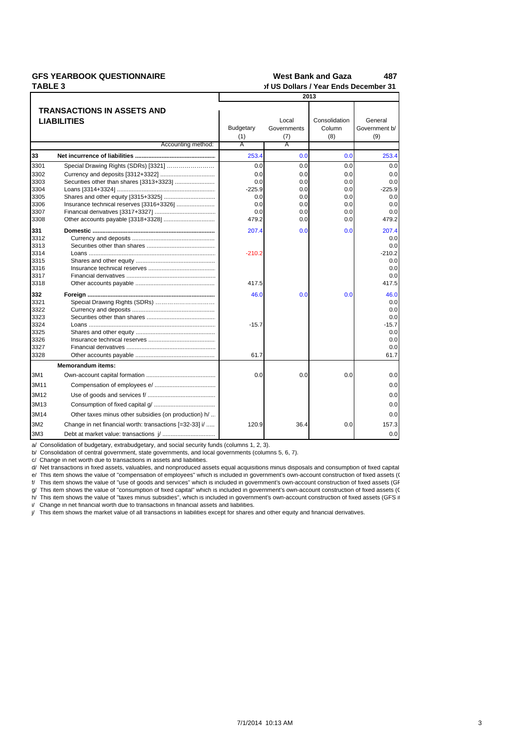## **TABLE 3**

#### **GFS YEARBOOK QUESTIONNAIRE 179,15 487 West Bank and Gaza In Millions of US Dollars / Year Ends December 31**

|                 |                                                         | 2013             |                      |                         |                          |  |  |
|-----------------|---------------------------------------------------------|------------------|----------------------|-------------------------|--------------------------|--|--|
|                 | <b>TRANSACTIONS IN ASSETS AND</b>                       |                  |                      |                         |                          |  |  |
|                 |                                                         |                  |                      |                         |                          |  |  |
|                 | <b>LIABILITIES</b>                                      | <b>Budgetary</b> | Local<br>Governments | Consolidation<br>Column | General<br>Government b/ |  |  |
|                 |                                                         |                  |                      | (8)                     | (9)                      |  |  |
|                 | Accounting method:                                      | (1)<br>A         | (7)<br>A             |                         |                          |  |  |
| 33              |                                                         | 253.4            | 0.0                  | 0.0                     | 253.4                    |  |  |
| 3301            |                                                         | 0.0              | 0.0                  | 0.0                     | 0.0                      |  |  |
|                 |                                                         |                  |                      |                         |                          |  |  |
| 3302<br>3303    |                                                         | 0.0<br>0.0       | 0.0<br>0.0           | 0.0<br>0.0              | 0.0<br>0.0               |  |  |
|                 |                                                         | $-225.9$         | 0.0                  | 0.0                     | $-225.9$                 |  |  |
| 3304<br>3305    |                                                         | 0.0              | 0.0                  | 0.0                     | 0.0                      |  |  |
| 3306            |                                                         | 0.0              | 0.0                  | 0.0                     | 0.0                      |  |  |
| 3307            |                                                         | 0.0              | 0.0                  | 0.0                     | 0.0                      |  |  |
| 3308            |                                                         | 479.2            | 0.0                  | 0.0                     | 479.2                    |  |  |
| 331             |                                                         | 207.4            | 0.0                  | 0.0                     | 207.4                    |  |  |
| 3312            |                                                         |                  |                      |                         | 0.0                      |  |  |
| 3313            |                                                         |                  |                      |                         | 0.0                      |  |  |
| 3314            |                                                         | $-210.2$         |                      |                         | $-210.2$                 |  |  |
| 3315            |                                                         |                  |                      |                         | 0.0                      |  |  |
| 3316            |                                                         |                  |                      |                         | 0.0                      |  |  |
| 3317            |                                                         |                  |                      |                         | 0.0                      |  |  |
| 3318            |                                                         | 417.5            |                      |                         | 417.5                    |  |  |
| 332             |                                                         | 46.0             | 0.0                  | 0.0                     | 46.0                     |  |  |
| 3321            | Special Drawing Rights (SDRs)                           |                  |                      |                         | 0.0                      |  |  |
| 3322            |                                                         |                  |                      |                         | 0.0                      |  |  |
| 3323            |                                                         |                  |                      |                         | 0.0                      |  |  |
| 3324            |                                                         | $-15.7$          |                      |                         | $-15.7$                  |  |  |
| 3325            |                                                         |                  |                      |                         | 0.0                      |  |  |
| 3326            |                                                         |                  |                      |                         | 0.0                      |  |  |
| 3327            |                                                         |                  |                      |                         | 0.0                      |  |  |
| 3328            |                                                         | 61.7             |                      |                         | 61.7                     |  |  |
|                 | <b>Memorandum items:</b>                                |                  |                      |                         |                          |  |  |
| 3M1             |                                                         | 0.0              | 0.0                  | 0.0                     | 0.0                      |  |  |
| 3M11            |                                                         |                  |                      |                         | 0.0                      |  |  |
| 3M12            |                                                         |                  |                      |                         | 0.0                      |  |  |
| 3M13            |                                                         |                  |                      |                         | 0.0                      |  |  |
| 3M14            | Other taxes minus other subsidies (on production) h/    |                  |                      |                         | 0.0                      |  |  |
| 3M2             | Change in net financial worth: transactions [=32-33] i/ | 120.9            | 36.4                 | 0.0                     | 157.3                    |  |  |
| 3M <sub>3</sub> |                                                         |                  |                      |                         | 0.0                      |  |  |

a/ Consolidation of budgetary, extrabudgetary, and social security funds (columns 1, 2, 3).

b/ Consolidation of central government, state governments, and local governments (columns 5, 6, 7).

c/ Change in net worth due to transactions in assets and liabilities.

d/ Net transactions in fixed assets, valuables, and nonproduced assets equal acquisitions minus disposals and consumption of fixed capital.

e/ This item shows the value of "compensation of employees" which is included in government's own-account construction of fixed assets (GFS item 311).

f/ This item shows the value of "use of goods and services" which is included in government's own-account construction of fixed assets (GF

g/ This item shows the value of "consumption of fixed capital" which is included in government's own-account construction of fixed assets (C h/ This item shows the value of "taxes minus subsidies", which is included in government's own-account construction of fixed assets (GFS it

i/ Change in net financial worth due to transactions in financial assets and liabilities.

j/ This item shows the market value of all transactions in liabilities except for shares and other equity and financial derivatives.